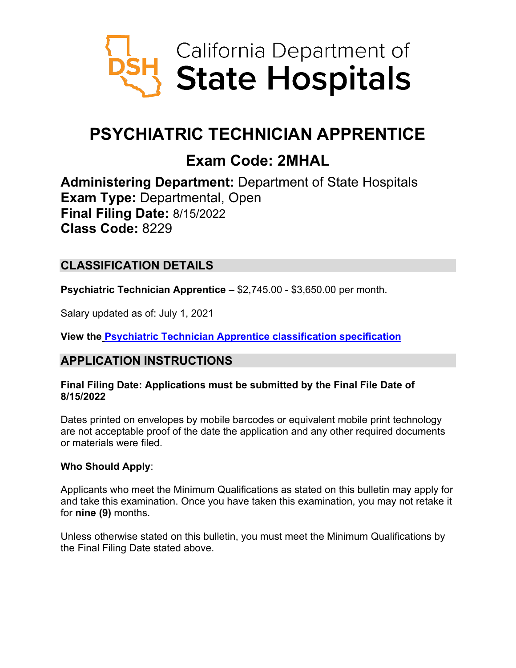

# **PSYCHIATRIC TECHNICIAN APPRENTICE**

# **Exam Code: 2MHAL**

**Administering Department:** Department of State Hospitals **Exam Type:** Departmental, Open **Final Filing Date:** 8/15/2022 **Class Code:** 8229

# **CLASSIFICATION DETAILS**

**Psychiatric Technician Apprentice –** \$2,745.00 - \$3,650.00 per month.

Salary updated as of: July 1, 2021

**View the [Psychiatric Technician Apprentice classification specification](https://www.calhr.ca.gov/state-hr-professionals/Pages/8229.aspx)**

## **APPLICATION INSTRUCTIONS**

#### **Final Filing Date: Applications must be submitted by the Final File Date of 8/15/2022**

Dates printed on envelopes by mobile barcodes or equivalent mobile print technology are not acceptable proof of the date the application and any other required documents or materials were filed.

## **Who Should Apply**:

Applicants who meet the Minimum Qualifications as stated on this bulletin may apply for and take this examination. Once you have taken this examination, you may not retake it for **nine (9)** months.

Unless otherwise stated on this bulletin, you must meet the Minimum Qualifications by the Final Filing Date stated above.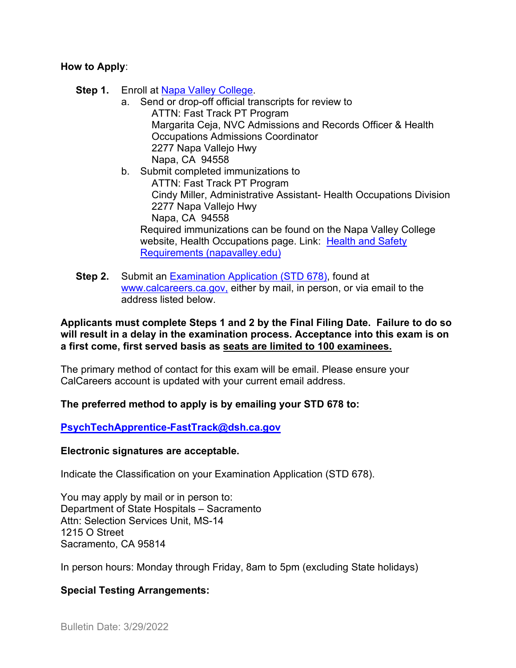#### **How to Apply**:

- **Step 1.** Enroll at [Napa Valley College.](https://www.napavalley.edu/studentaffairs/AR/Pages/HowtoApply.aspx)
	- a. Send or drop-off official transcripts for review to ATTN: Fast Track PT Program Margarita Ceja, NVC Admissions and Records Officer & Health Occupations Admissions Coordinator 2277 Napa Vallejo Hwy Napa, CA 94558
	- b. Submit completed immunizations to ATTN: Fast Track PT Program Cindy Miller, Administrative Assistant- Health Occupations Division 2277 Napa Vallejo Hwy Napa, CA 94558 Required immunizations can be found on the Napa Valley College website, Health Occupations page. Link: [Health and Safety](https://gcc02.safelinks.protection.outlook.com/?url=https%3A%2F%2Fwww.napavalley.edu%2Facademics%2FHealthOccupations%2FPages%2FHealthandSafetyRequirements.aspx&data=04%7C01%7CBeth.Porras%40dsh.ca.gov%7C319ef5450e2949fc846808da0dc5ef31%7C807536a6a6b14893a01370509c59ebbb%7C0%7C0%7C637837441021873932%7CUnknown%7CTWFpbGZsb3d8eyJWIjoiMC4wLjAwMDAiLCJQIjoiV2luMzIiLCJBTiI6Ik1haWwiLCJXVCI6Mn0%3D%7C3000&sdata=%2BriuPTZy6v4nar9%2F%2B70xTgtzzKIFijE%2Bq1%2BzV2EDFEY%3D&reserved=0)  [Requirements \(napavalley.edu\)](https://gcc02.safelinks.protection.outlook.com/?url=https%3A%2F%2Fwww.napavalley.edu%2Facademics%2FHealthOccupations%2FPages%2FHealthandSafetyRequirements.aspx&data=04%7C01%7CBeth.Porras%40dsh.ca.gov%7C319ef5450e2949fc846808da0dc5ef31%7C807536a6a6b14893a01370509c59ebbb%7C0%7C0%7C637837441021873932%7CUnknown%7CTWFpbGZsb3d8eyJWIjoiMC4wLjAwMDAiLCJQIjoiV2luMzIiLCJBTiI6Ik1haWwiLCJXVCI6Mn0%3D%7C3000&sdata=%2BriuPTZy6v4nar9%2F%2B70xTgtzzKIFijE%2Bq1%2BzV2EDFEY%3D&reserved=0)
- **Step 2.** Submit an [Examination Application \(STD 678\),](https://jobs.ca.gov/pdf/std678.pdf) found at [www.calcareers.ca.gov,](http://www.calcareers.ca.gov/) either by mail, in person, or via email to the address listed below.

#### **Applicants must complete Steps 1 and 2 by the Final Filing Date. Failure to do so will result in a delay in the examination process. Acceptance into this exam is on a first come, first served basis as seats are limited to 100 examinees.**

The primary method of contact for this exam will be email. Please ensure your CalCareers account is updated with your current email address.

## **The preferred method to apply is by emailing your STD 678 to:**

**[PsychTechApprentice-FastTrack@dsh.ca.gov](mailto:PsychTechApprentice-FastTrack@dsh.ca.gov)**

#### **Electronic signatures are acceptable.**

Indicate the Classification on your Examination Application (STD 678).

You may apply by mail or in person to: Department of State Hospitals – Sacramento Attn: Selection Services Unit, MS-14 1215 O Street Sacramento, CA 95814

In person hours: Monday through Friday, 8am to 5pm (excluding State holidays)

## **Special Testing Arrangements:**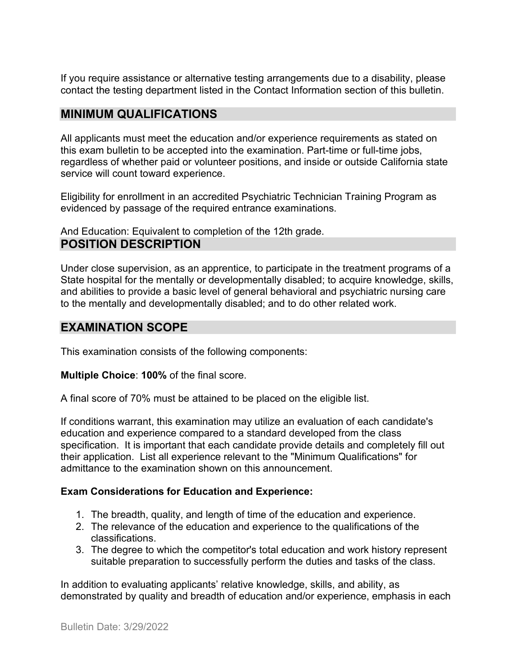If you require assistance or alternative testing arrangements due to a disability, please contact the testing department listed in the Contact Information section of this bulletin.

## **MINIMUM QUALIFICATIONS**

All applicants must meet the education and/or experience requirements as stated on this exam bulletin to be accepted into the examination. Part-time or full-time jobs, regardless of whether paid or volunteer positions, and inside or outside California state service will count toward experience.

Eligibility for enrollment in an accredited Psychiatric Technician Training Program as evidenced by passage of the required entrance examinations.

And Education: Equivalent to completion of the 12th grade. **POSITION DESCRIPTION**

Under close supervision, as an apprentice, to participate in the treatment programs of a State hospital for the mentally or developmentally disabled; to acquire knowledge, skills, and abilities to provide a basic level of general behavioral and psychiatric nursing care to the mentally and developmentally disabled; and to do other related work.

## **EXAMINATION SCOPE**

This examination consists of the following components:

**Multiple Choice**: **100%** of the final score.

A final score of 70% must be attained to be placed on the eligible list.

If conditions warrant, this examination may utilize an evaluation of each candidate's education and experience compared to a standard developed from the class specification. It is important that each candidate provide details and completely fill out their application. List all experience relevant to the "Minimum Qualifications" for admittance to the examination shown on this announcement.

#### **Exam Considerations for Education and Experience:**

- 1. The breadth, quality, and length of time of the education and experience.
- 2. The relevance of the education and experience to the qualifications of the classifications.
- 3. The degree to which the competitor's total education and work history represent suitable preparation to successfully perform the duties and tasks of the class.

In addition to evaluating applicants' relative knowledge, skills, and ability, as demonstrated by quality and breadth of education and/or experience, emphasis in each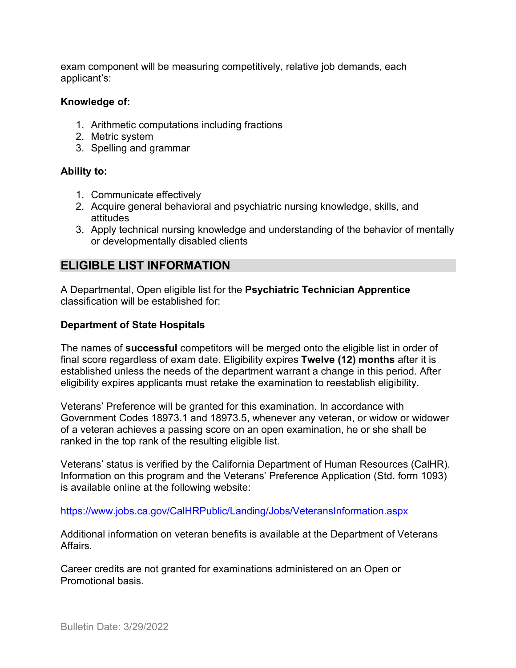exam component will be measuring competitively, relative job demands, each applicant's:

#### **Knowledge of:**

- 1. Arithmetic computations including fractions
- 2. Metric system
- 3. Spelling and grammar

#### **Ability to:**

- 1. Communicate effectively
- 2. Acquire general behavioral and psychiatric nursing knowledge, skills, and attitudes
- 3. Apply technical nursing knowledge and understanding of the behavior of mentally or developmentally disabled clients

## **ELIGIBLE LIST INFORMATION**

A Departmental, Open eligible list for the **Psychiatric Technician Apprentice** classification will be established for:

#### **Department of State Hospitals**

The names of **successful** competitors will be merged onto the eligible list in order of final score regardless of exam date. Eligibility expires **Twelve (12) months** after it is established unless the needs of the department warrant a change in this period. After eligibility expires applicants must retake the examination to reestablish eligibility.

Veterans' Preference will be granted for this examination. In accordance with Government Codes 18973.1 and 18973.5, whenever any veteran, or widow or widower of a veteran achieves a passing score on an open examination, he or she shall be ranked in the top rank of the resulting eligible list.

Veterans' status is verified by the California Department of Human Resources (CalHR). Information on this program and the Veterans' Preference Application (Std. form 1093) is available online at the following website:

<https://www.jobs.ca.gov/CalHRPublic/Landing/Jobs/VeteransInformation.aspx>

Additional information on veteran benefits is available at the Department of Veterans Affairs.

Career credits are not granted for examinations administered on an Open or Promotional basis.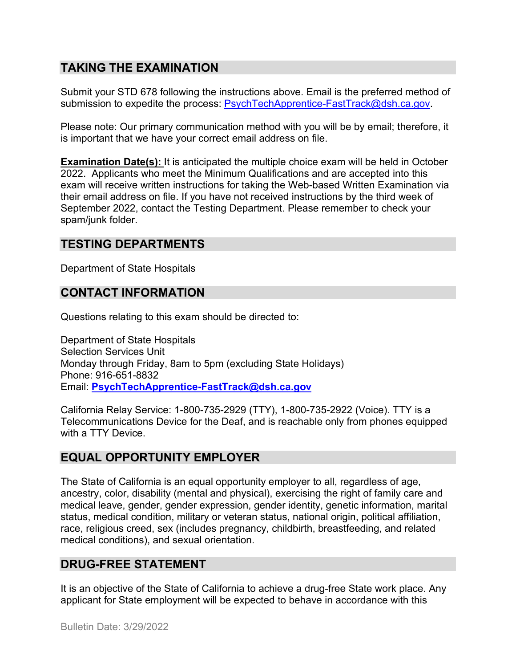# **TAKING THE EXAMINATION**

Submit your STD 678 following the instructions above. Email is the preferred method of submission to expedite the process: [PsychTechApprentice-FastTrack@dsh.ca.gov.](mailto:PsychTechApprentice-FastTrack@dsh.ca.gov)

Please note: Our primary communication method with you will be by email; therefore, it is important that we have your correct email address on file.

**Examination Date(s):** It is anticipated the multiple choice exam will be held in October 2022. Applicants who meet the Minimum Qualifications and are accepted into this exam will receive written instructions for taking the Web-based Written Examination via their email address on file. If you have not received instructions by the third week of September 2022, contact the Testing Department. Please remember to check your spam/junk folder.

# **TESTING DEPARTMENTS**

Department of State Hospitals

## **CONTACT INFORMATION**

Questions relating to this exam should be directed to:

Department of State Hospitals Selection Services Unit Monday through Friday, 8am to 5pm (excluding State Holidays) Phone: 916-651-8832 Email: **[PsychTechApprentice-FastTrack@dsh.ca.gov](mailto:PsychTechApprentice-FastTrack@dsh.ca.gov)**

California Relay Service: 1-800-735-2929 (TTY), 1-800-735-2922 (Voice). TTY is a Telecommunications Device for the Deaf, and is reachable only from phones equipped with a TTY Device.

## **EQUAL OPPORTUNITY EMPLOYER**

The State of California is an equal opportunity employer to all, regardless of age, ancestry, color, disability (mental and physical), exercising the right of family care and medical leave, gender, gender expression, gender identity, genetic information, marital status, medical condition, military or veteran status, national origin, political affiliation, race, religious creed, sex (includes pregnancy, childbirth, breastfeeding, and related medical conditions), and sexual orientation.

## **DRUG-FREE STATEMENT**

It is an objective of the State of California to achieve a drug-free State work place. Any applicant for State employment will be expected to behave in accordance with this